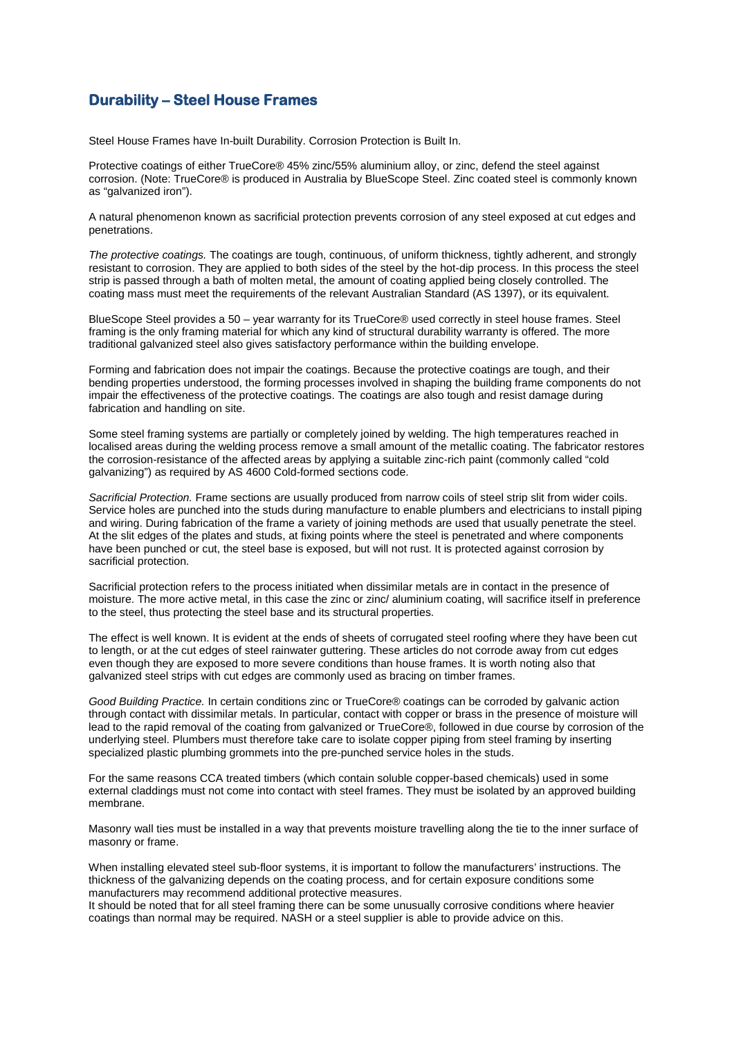## **Durability – Steel House Frames**

Steel House Frames have In-built Durability. Corrosion Protection is Built In.

Protective coatings of either TrueCore® 45% zinc/55% aluminium alloy, or zinc, defend the steel against corrosion. (Note: TrueCore® is produced in Australia by BlueScope Steel. Zinc coated steel is commonly known as "galvanized iron").

A natural phenomenon known as sacrificial protection prevents corrosion of any steel exposed at cut edges and penetrations.

*The protective coatings.* The coatings are tough, continuous, of uniform thickness, tightly adherent, and strongly resistant to corrosion. They are applied to both sides of the steel by the hot-dip process. In this process the steel strip is passed through a bath of molten metal, the amount of coating applied being closely controlled. The coating mass must meet the requirements of the relevant Australian Standard (AS 1397), or its equivalent.

BlueScope Steel provides a 50 – year warranty for its TrueCore® used correctly in steel house frames. Steel framing is the only framing material for which any kind of structural durability warranty is offered. The more traditional galvanized steel also gives satisfactory performance within the building envelope.

Forming and fabrication does not impair the coatings. Because the protective coatings are tough, and their bending properties understood, the forming processes involved in shaping the building frame components do not impair the effectiveness of the protective coatings. The coatings are also tough and resist damage during fabrication and handling on site.

Some steel framing systems are partially or completely joined by welding. The high temperatures reached in localised areas during the welding process remove a small amount of the metallic coating. The fabricator restores the corrosion-resistance of the affected areas by applying a suitable zinc-rich paint (commonly called "cold galvanizing") as required by AS 4600 Cold-formed sections code.

*Sacrificial Protection.* Frame sections are usually produced from narrow coils of steel strip slit from wider coils. Service holes are punched into the studs during manufacture to enable plumbers and electricians to install piping and wiring. During fabrication of the frame a variety of joining methods are used that usually penetrate the steel. At the slit edges of the plates and studs, at fixing points where the steel is penetrated and where components have been punched or cut, the steel base is exposed, but will not rust. It is protected against corrosion by sacrificial protection.

Sacrificial protection refers to the process initiated when dissimilar metals are in contact in the presence of moisture. The more active metal, in this case the zinc or zinc/ aluminium coating, will sacrifice itself in preference to the steel, thus protecting the steel base and its structural properties.

The effect is well known. It is evident at the ends of sheets of corrugated steel roofing where they have been cut to length, or at the cut edges of steel rainwater guttering. These articles do not corrode away from cut edges even though they are exposed to more severe conditions than house frames. It is worth noting also that galvanized steel strips with cut edges are commonly used as bracing on timber frames.

*Good Building Practice.* In certain conditions zinc or TrueCore® coatings can be corroded by galvanic action through contact with dissimilar metals. In particular, contact with copper or brass in the presence of moisture will lead to the rapid removal of the coating from galvanized or TrueCore®, followed in due course by corrosion of the underlying steel. Plumbers must therefore take care to isolate copper piping from steel framing by inserting specialized plastic plumbing grommets into the pre-punched service holes in the studs.

For the same reasons CCA treated timbers (which contain soluble copper-based chemicals) used in some external claddings must not come into contact with steel frames. They must be isolated by an approved building membrane.

Masonry wall ties must be installed in a way that prevents moisture travelling along the tie to the inner surface of masonry or frame.

When installing elevated steel sub-floor systems, it is important to follow the manufacturers' instructions. The thickness of the galvanizing depends on the coating process, and for certain exposure conditions some manufacturers may recommend additional protective measures.

It should be noted that for all steel framing there can be some unusually corrosive conditions where heavier coatings than normal may be required. NASH or a steel supplier is able to provide advice on this.